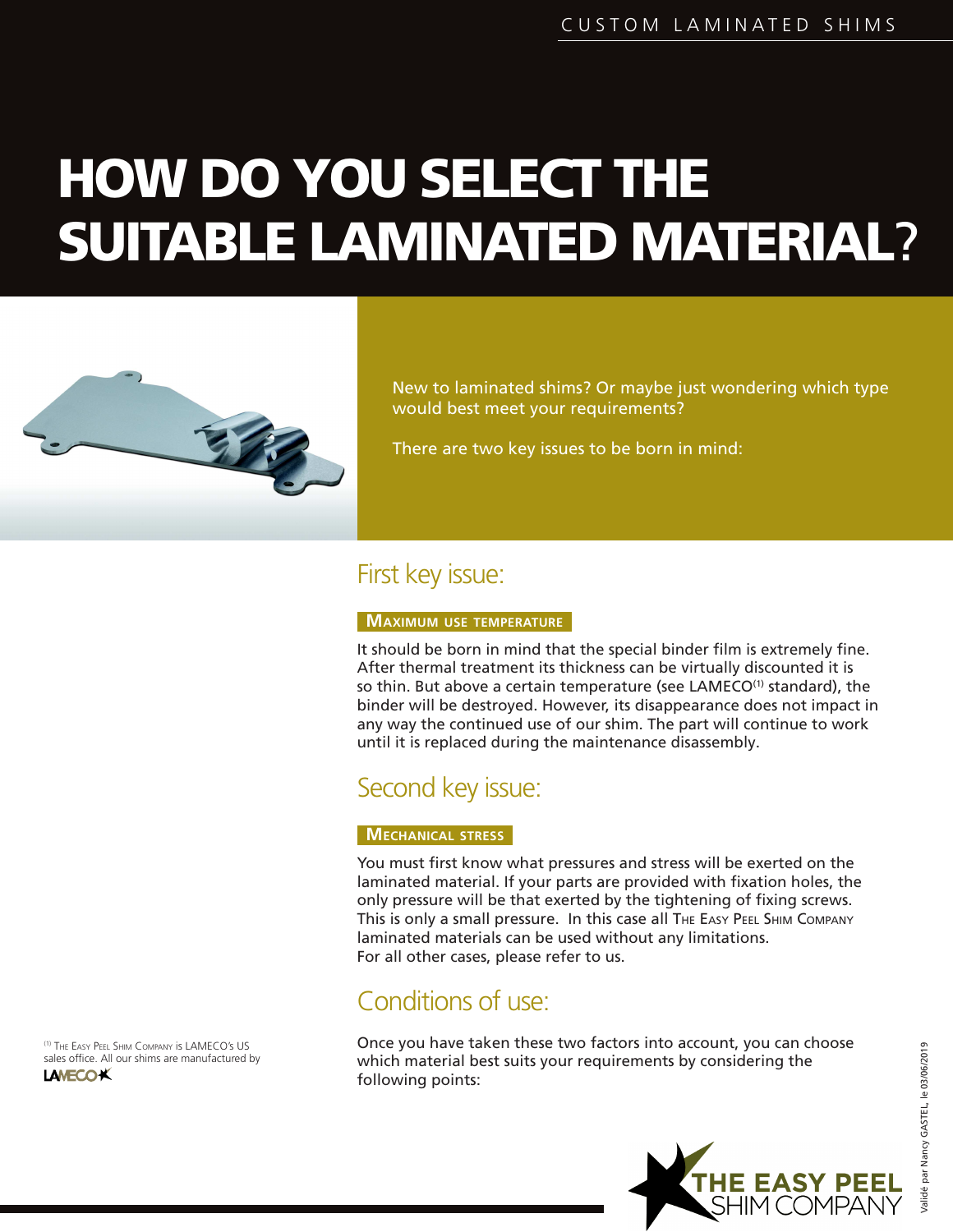# HOW DO YOU SELECT THE SUITABLE LAMINATED MATERIAL?



New to laminated shims? Or maybe just wondering which type would best meet your requirements?

There are two key issues to be born in mind:

## First key issue:

#### **MAXIMUM USE TEMPERATURE**

It should be born in mind that the special binder film is extremely fine. After thermal treatment its thickness can be virtually discounted it is so thin. But above a certain temperature (see LAMECO<sup>(1)</sup> standard), the binder will be destroyed. However, its disappearance does not impact in any way the continued use of our shim. The part will continue to work until it is replaced during the maintenance disassembly.

## Second key issue:

#### **MECHANICAL STRESS**

You must first know what pressures and stress will be exerted on the laminated material. If your parts are provided with fixation holes, the only pressure will be that exerted by the tightening of fixing screws. This is only a small pressure. In this case all THE EASY PEEL SHIM COMPANY laminated materials can be used without any limitations. For all other cases, please refer to us.

## Conditions of use:

Once you have taken these two factors into account, you can choose which material best suits your requirements by considering the following points:



Validé par Nancy GASTEL, le 03/06/2019

(1) THE EASY PEEL SHIM COMPANY is LAMECO's US sales office. All our shims are manufactured by